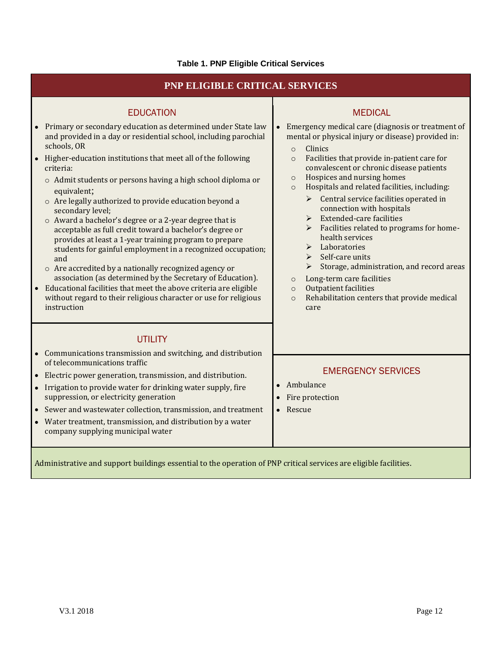#### **Table 1. PNP Eligible Critical Services**

## **PNP ELIGIBLE CRITICAL SERVICES**

| <b>EDUCATION</b>                                                                                                                                                                                                                                                                                                                                                                                                                                                                                                                                                                                                                                                                                                                                                                                                                                                                                                              | <b>MEDICAL</b>                                                                                                                                                                                                                                                                                                                                                                                                                                                                                                                                                                                                                                                                                                                                                                                                                                     |
|-------------------------------------------------------------------------------------------------------------------------------------------------------------------------------------------------------------------------------------------------------------------------------------------------------------------------------------------------------------------------------------------------------------------------------------------------------------------------------------------------------------------------------------------------------------------------------------------------------------------------------------------------------------------------------------------------------------------------------------------------------------------------------------------------------------------------------------------------------------------------------------------------------------------------------|----------------------------------------------------------------------------------------------------------------------------------------------------------------------------------------------------------------------------------------------------------------------------------------------------------------------------------------------------------------------------------------------------------------------------------------------------------------------------------------------------------------------------------------------------------------------------------------------------------------------------------------------------------------------------------------------------------------------------------------------------------------------------------------------------------------------------------------------------|
| Primary or secondary education as determined under State law<br>and provided in a day or residential school, including parochial<br>schools, OR<br>Higher-education institutions that meet all of the following<br>criteria:<br>o Admit students or persons having a high school diploma or<br>equivalent;<br>o Are legally authorized to provide education beyond a<br>secondary level;<br>o Award a bachelor's degree or a 2-year degree that is<br>acceptable as full credit toward a bachelor's degree or<br>provides at least a 1-year training program to prepare<br>students for gainful employment in a recognized occupation;<br>and<br>o Are accredited by a nationally recognized agency or<br>association (as determined by the Secretary of Education).<br>• Educational facilities that meet the above criteria are eligible<br>without regard to their religious character or use for religious<br>instruction | • Emergency medical care (diagnosis or treatment of<br>mental or physical injury or disease) provided in:<br>Clinics<br>$\Omega$<br>Facilities that provide in-patient care for<br>$\circ$<br>convalescent or chronic disease patients<br>Hospices and nursing homes<br>$\circ$<br>Hospitals and related facilities, including:<br>$\Omega$<br>$\triangleright$ Central service facilities operated in<br>connection with hospitals<br>Extended-care facilities<br>$\blacktriangleright$<br>$\triangleright$ Facilities related to programs for home-<br>health services<br>$\blacktriangleright$ Laboratories<br>$\triangleright$ Self-care units<br>Storage, administration, and record areas<br>➤<br>Long-term care facilities<br>$\circ$<br>Outpatient facilities<br>$\circ$<br>Rehabilitation centers that provide medical<br>$\circ$<br>care |
| <b>UTILITY</b><br>• Communications transmission and switching, and distribution                                                                                                                                                                                                                                                                                                                                                                                                                                                                                                                                                                                                                                                                                                                                                                                                                                               |                                                                                                                                                                                                                                                                                                                                                                                                                                                                                                                                                                                                                                                                                                                                                                                                                                                    |
| of telecommunications traffic                                                                                                                                                                                                                                                                                                                                                                                                                                                                                                                                                                                                                                                                                                                                                                                                                                                                                                 |                                                                                                                                                                                                                                                                                                                                                                                                                                                                                                                                                                                                                                                                                                                                                                                                                                                    |
| • Electric power generation, transmission, and distribution.                                                                                                                                                                                                                                                                                                                                                                                                                                                                                                                                                                                                                                                                                                                                                                                                                                                                  | <b>EMERGENCY SERVICES</b>                                                                                                                                                                                                                                                                                                                                                                                                                                                                                                                                                                                                                                                                                                                                                                                                                          |
| • Irrigation to provide water for drinking water supply, fire<br>suppression, or electricity generation                                                                                                                                                                                                                                                                                                                                                                                                                                                                                                                                                                                                                                                                                                                                                                                                                       | • Ambulance<br>• Fire protection                                                                                                                                                                                                                                                                                                                                                                                                                                                                                                                                                                                                                                                                                                                                                                                                                   |
| • Sewer and wastewater collection, transmission, and treatment                                                                                                                                                                                                                                                                                                                                                                                                                                                                                                                                                                                                                                                                                                                                                                                                                                                                | • Rescue                                                                                                                                                                                                                                                                                                                                                                                                                                                                                                                                                                                                                                                                                                                                                                                                                                           |
| • Water treatment, transmission, and distribution by a water<br>company supplying municipal water                                                                                                                                                                                                                                                                                                                                                                                                                                                                                                                                                                                                                                                                                                                                                                                                                             |                                                                                                                                                                                                                                                                                                                                                                                                                                                                                                                                                                                                                                                                                                                                                                                                                                                    |
|                                                                                                                                                                                                                                                                                                                                                                                                                                                                                                                                                                                                                                                                                                                                                                                                                                                                                                                               |                                                                                                                                                                                                                                                                                                                                                                                                                                                                                                                                                                                                                                                                                                                                                                                                                                                    |

Administrative and support buildings essential to the operation of PNP critical services are eligible facilities.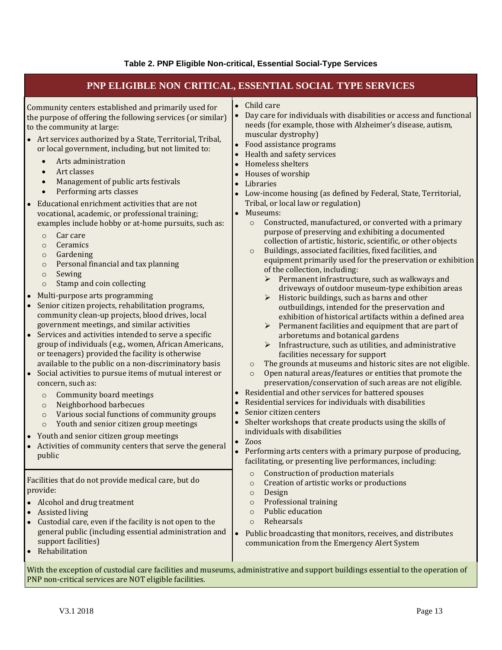### **Table 2. PNP Eligible Non-critical, Essential Social-Type Services**

| PNP ELIGIBLE NON CRITICAL, ESSENTIAL SOCIAL TYPE SERVICES                                                                                                                                                                                                                                                                                                                                                                                                                                                                                                                                                                                                                                                                                                                                                                                                                                                                                                                                                                                                                                                                                                                                                                                                                                                                                                                                                                                                                                                                                                                                     |                                                                                                                                                                                                                                                                                                                                                                                                                                                                                                                                                                                                                                                                                                                                                                                                                                                                                                                                                                                                                                                                                                                                                                                                                                                                                                                                                                                                                                                                                                                                                                                                                                                                                                                                                                                                                                                                                                                      |  |  |
|-----------------------------------------------------------------------------------------------------------------------------------------------------------------------------------------------------------------------------------------------------------------------------------------------------------------------------------------------------------------------------------------------------------------------------------------------------------------------------------------------------------------------------------------------------------------------------------------------------------------------------------------------------------------------------------------------------------------------------------------------------------------------------------------------------------------------------------------------------------------------------------------------------------------------------------------------------------------------------------------------------------------------------------------------------------------------------------------------------------------------------------------------------------------------------------------------------------------------------------------------------------------------------------------------------------------------------------------------------------------------------------------------------------------------------------------------------------------------------------------------------------------------------------------------------------------------------------------------|----------------------------------------------------------------------------------------------------------------------------------------------------------------------------------------------------------------------------------------------------------------------------------------------------------------------------------------------------------------------------------------------------------------------------------------------------------------------------------------------------------------------------------------------------------------------------------------------------------------------------------------------------------------------------------------------------------------------------------------------------------------------------------------------------------------------------------------------------------------------------------------------------------------------------------------------------------------------------------------------------------------------------------------------------------------------------------------------------------------------------------------------------------------------------------------------------------------------------------------------------------------------------------------------------------------------------------------------------------------------------------------------------------------------------------------------------------------------------------------------------------------------------------------------------------------------------------------------------------------------------------------------------------------------------------------------------------------------------------------------------------------------------------------------------------------------------------------------------------------------------------------------------------------------|--|--|
| Community centers established and primarily used for<br>the purpose of offering the following services (or similar)<br>to the community at large:<br>• Art services authorized by a State, Territorial, Tribal,<br>or local government, including, but not limited to:<br>Arts administration<br>Art classes<br>Management of public arts festivals<br>Performing arts classes<br>$\bullet$<br>Educational enrichment activities that are not<br>$\bullet$<br>vocational, academic, or professional training;<br>examples include hobby or at-home pursuits, such as:<br>Car care<br>$\circ$<br>Ceramics<br>$\circ$<br>Gardening<br>$\circ$<br>Personal financial and tax planning<br>$\circ$<br>Sewing<br>$\circ$<br>Stamp and coin collecting<br>$\circ$<br>Multi-purpose arts programming<br>$\bullet$<br>Senior citizen projects, rehabilitation programs,<br>community clean-up projects, blood drives, local<br>government meetings, and similar activities<br>Services and activities intended to serve a specific<br>group of individuals (e.g., women, African Americans,<br>or teenagers) provided the facility is otherwise<br>available to the public on a non-discriminatory basis<br>Social activities to pursue items of mutual interest or<br>concern, such as:<br>Community board meetings<br>$\circ$<br>Neighborhood barbecues<br>$\circ$<br>Various social functions of community groups<br>$\circ$<br>Youth and senior citizen group meetings<br>$\circ$<br>• Youth and senior citizen group meetings<br>Activities of community centers that serve the general<br>public | • Child care<br>• Day care for individuals with disabilities or access and functional<br>needs (for example, those with Alzheimer's disease, autism,<br>muscular dystrophy)<br>• Food assistance programs<br>Health and safety services<br>Homeless shelters<br>Houses of worship<br>Libraries<br>Low-income housing (as defined by Federal, State, Territorial,<br>Tribal, or local law or regulation)<br>Museums:<br>$\bullet$<br>Constructed, manufactured, or converted with a primary<br>$\circ$<br>purpose of preserving and exhibiting a documented<br>collection of artistic, historic, scientific, or other objects<br>Buildings, associated facilities, fixed facilities, and<br>$\circ$<br>equipment primarily used for the preservation or exhibition<br>of the collection, including:<br>$\triangleright$ Permanent infrastructure, such as walkways and<br>driveways of outdoor museum-type exhibition areas<br>Historic buildings, such as barns and other<br>$\blacktriangleright$<br>outbuildings, intended for the preservation and<br>exhibition of historical artifacts within a defined area<br>Permanent facilities and equipment that are part of<br>arboretums and botanical gardens<br>Infrastructure, such as utilities, and administrative<br>facilities necessary for support<br>The grounds at museums and historic sites are not eligible.<br>$\circ$<br>Open natural areas/features or entities that promote the<br>$\circ$<br>preservation/conservation of such areas are not eligible.<br>• Residential and other services for battered spouses<br>Residential services for individuals with disabilities<br>Senior citizen centers<br>• Shelter workshops that create products using the skills of<br>individuals with disabilities<br>$\bullet$ Zoos<br>Performing arts centers with a primary purpose of producing,<br>facilitating, or presenting live performances, including: |  |  |
| Facilities that do not provide medical care, but do<br>provide:<br>Alcohol and drug treatment<br>Assisted living<br>Custodial care, even if the facility is not open to the<br>general public (including essential administration and<br>support facilities)<br>Rehabilitation                                                                                                                                                                                                                                                                                                                                                                                                                                                                                                                                                                                                                                                                                                                                                                                                                                                                                                                                                                                                                                                                                                                                                                                                                                                                                                                | Construction of production materials<br>$\circ$<br>Creation of artistic works or productions<br>$\circ$<br>Design<br>$\circ$<br><b>Professional training</b><br>$\circ$<br>Public education<br>$\circ$<br>Rehearsals<br>$\circ$<br>Public broadcasting that monitors, receives, and distributes<br>$\bullet$<br>communication from the Emergency Alert System                                                                                                                                                                                                                                                                                                                                                                                                                                                                                                                                                                                                                                                                                                                                                                                                                                                                                                                                                                                                                                                                                                                                                                                                                                                                                                                                                                                                                                                                                                                                                        |  |  |

With the exception of custodial care facilities and museums, administrative and support buildings essential to the operation of PNP non-critical services are NOT eligible facilities.